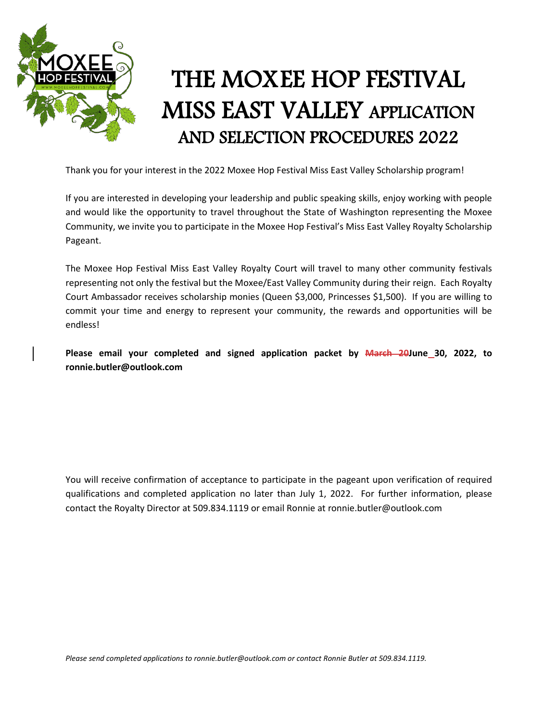

## THE MOXEE HOP FESTIVAL MISS EAST VALLEY APPLICATION AND SELECTION PROCEDURES 2022

Thank you for your interest in the 2022 Moxee Hop Festival Miss East Valley Scholarship program!

If you are interested in developing your leadership and public speaking skills, enjoy working with people and would like the opportunity to travel throughout the State of Washington representing the Moxee Community, we invite you to participate in the Moxee Hop Festival's Miss East Valley Royalty Scholarship Pageant.

The Moxee Hop Festival Miss East Valley Royalty Court will travel to many other community festivals representing not only the festival but the Moxee/East Valley Community during their reign. Each Royalty Court Ambassador receives scholarship monies (Queen \$3,000, Princesses \$1,500). If you are willing to commit your time and energy to represent your community, the rewards and opportunities will be endless!

**Please email your completed and signed application packet by March 20June 30, 2022, to ronnie.butler@outlook.com**

You will receive confirmation of acceptance to participate in the pageant upon verification of required qualifications and completed application no later than July 1, 2022. For further information, please contact the Royalty Director at 509.834.1119 or email Ronnie at ronnie.butler@outlook.com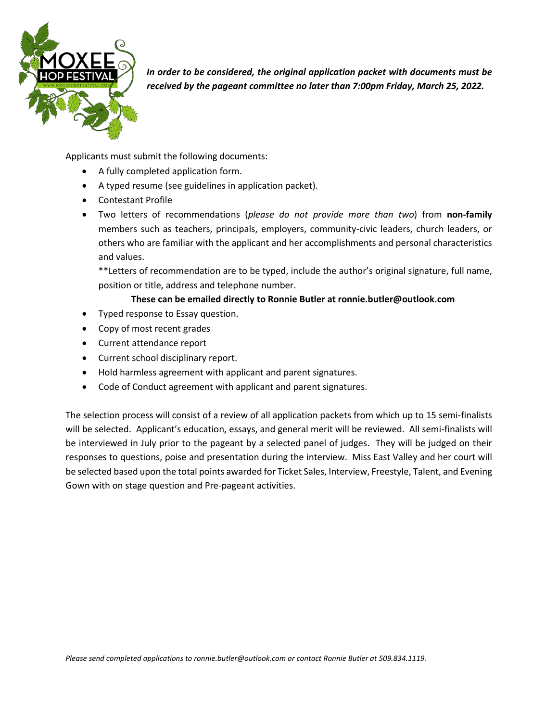

*In order to be considered, the original application packet with documents must be received by the pageant committee no later than 7:00pm Friday, March 25, 2022.* 

Applicants must submit the following documents:

- A fully completed application form.
- A typed resume (see guidelines in application packet).
- Contestant Profile
- Two letters of recommendations (*please do not provide more than two*) from **non-family** members such as teachers, principals, employers, community-civic leaders, church leaders, or others who are familiar with the applicant and her accomplishments and personal characteristics and values.

\*\*Letters of recommendation are to be typed, include the author's original signature, full name, position or title, address and telephone number.

#### **These can be emailed directly to Ronnie Butler at ronnie.butler@outlook.com**

- Typed response to Essay question.
- Copy of most recent grades
- Current attendance report
- Current school disciplinary report.
- Hold harmless agreement with applicant and parent signatures.
- Code of Conduct agreement with applicant and parent signatures.

The selection process will consist of a review of all application packets from which up to 15 semi-finalists will be selected. Applicant's education, essays, and general merit will be reviewed. All semi-finalists will be interviewed in July prior to the pageant by a selected panel of judges. They will be judged on their responses to questions, poise and presentation during the interview. Miss East Valley and her court will be selected based upon the total points awarded for Ticket Sales, Interview, Freestyle, Talent, and Evening Gown with on stage question and Pre-pageant activities.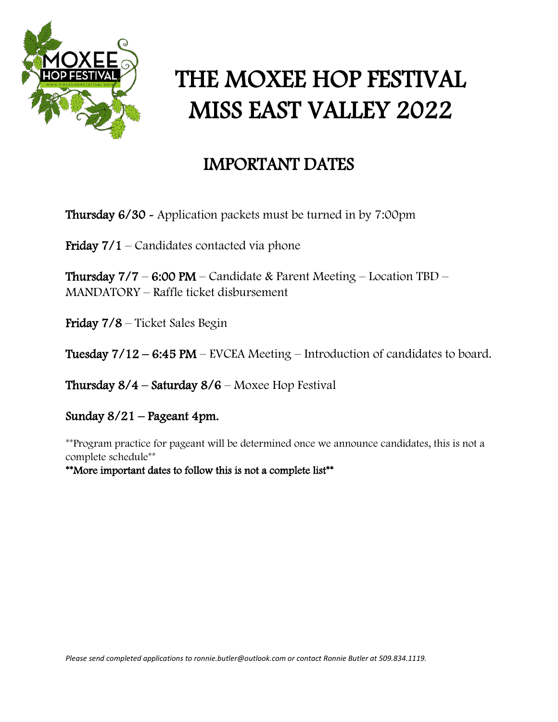

# THE MOXEE HOP FESTIVAL MISS EAST VALLEY 2022

### IMPORTANT DATES

Thursday 6/30 - Application packets must be turned in by 7:00pm

Friday  $7/1$  – Candidates contacted via phone

Thursday  $7/7 - 6:00 \text{ PM} - \text{C}$ andidate & Parent Meeting - Location TBD -MANDATORY – Raffle ticket disbursement

Friday 7/8 – Ticket Sales Begin

Tuesday 7/12 – 6:45 PM – EVCEA Meeting – Introduction of candidates to board.

Thursday  $8/4$  – Saturday  $8/6$  – Moxee Hop Festival

Sunday 8/21 – Pageant 4pm.

\*\*Program practice for pageant will be determined once we announce candidates, this is not a complete schedule\*\*

\*\*More important dates to follow this is not a complete list\*\*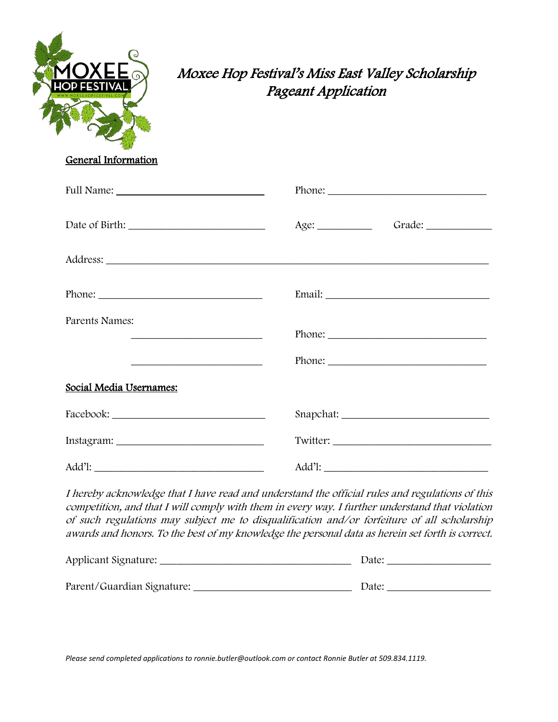

### Moxee Hop Festival's Miss East Valley Scholarship Pageant Application

General Information

|                                                             | $Phone: ____________$ |
|-------------------------------------------------------------|-----------------------|
|                                                             | Age:                  |
|                                                             |                       |
|                                                             |                       |
| Parents Names:                                              |                       |
| <u> 1989 - Johann Stein, mars an de Francisco (f. 1989)</u> | $Phone: ____________$ |
| Social Media Usernames:                                     |                       |
|                                                             |                       |
|                                                             |                       |
|                                                             |                       |

I hereby acknowledge that I have read and understand the official rules and regulations of this competition, and that I will comply with them in every way. I further understand that violation of such regulations may subject me to disqualification and/or forfeiture of all scholarship awards and honors. To the best of my knowledge the personal data as herein set forth is correct.

| Applicant Signature:       | Date: |
|----------------------------|-------|
|                            |       |
| Parent/Guardian Signature: | Date: |

*Please send completed applications to ronnie.butler@outlook.com or contact Ronnie Butler at 509.834.1119.*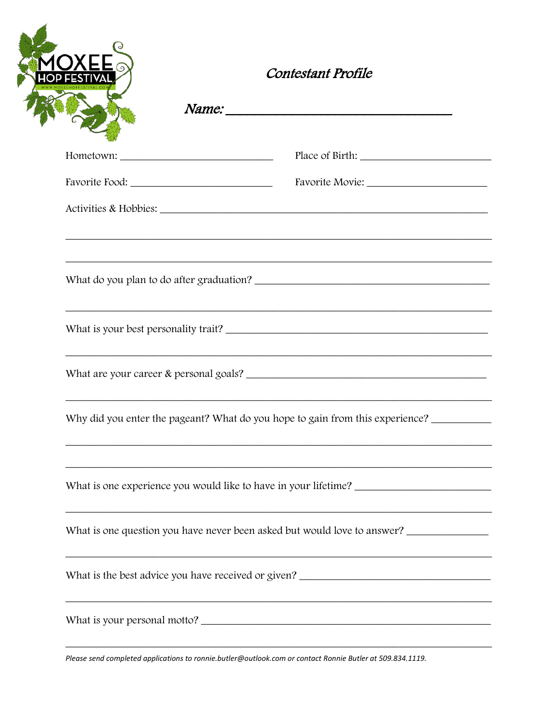| <b>Contestant Profile</b>                                                         |
|-----------------------------------------------------------------------------------|
|                                                                                   |
|                                                                                   |
|                                                                                   |
| ,我们也不能在这里的时候,我们也不能在这里的时候,我们也不能在这里的时候,我们也不能会不能在这里的时候,我们也不能会不能会不能会不能会不能会不能会不能会不能会不  |
| What do you plan to do after graduation?                                          |
| What is your best personality trait?                                              |
|                                                                                   |
| Why did you enter the pageant? What do you hope to gain from this experience?     |
|                                                                                   |
| What is one question you have never been asked but would love to answer?          |
| What is the best advice you have received or given? _____________________________ |
|                                                                                   |

Please send completed applications to ronnie.butler@outlook.com or contact Ronnie Butler at 509.834.1119.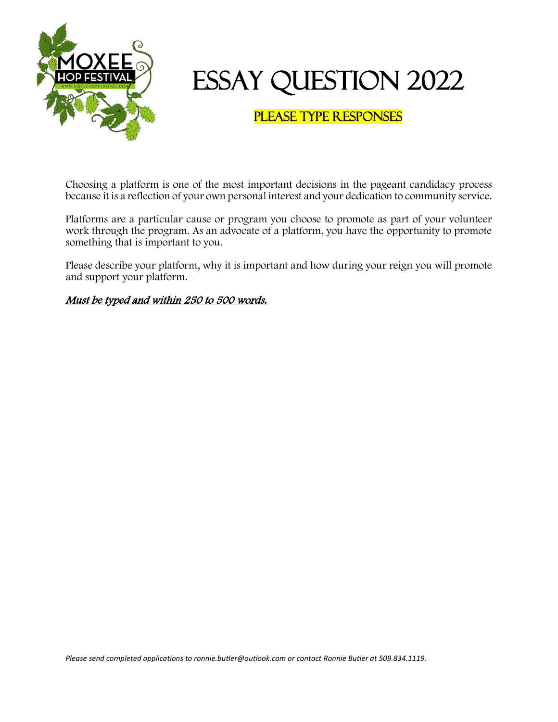

## Essay Question 2022

### Please Type Responses

Choosing a platform is one of the most important decisions in the pageant candidacy process because it is a reflection of your own personal interest and your dedication to community service.

Platforms are a particular cause or program you choose to promote as part of your volunteer work through the program. As an advocate of a platform, you have the opportunity to promote something that is important to you.

Please describe your platform, why it is important and how during your reign you will promote and support your platform.

#### Must be typed and within 250 to 500 words.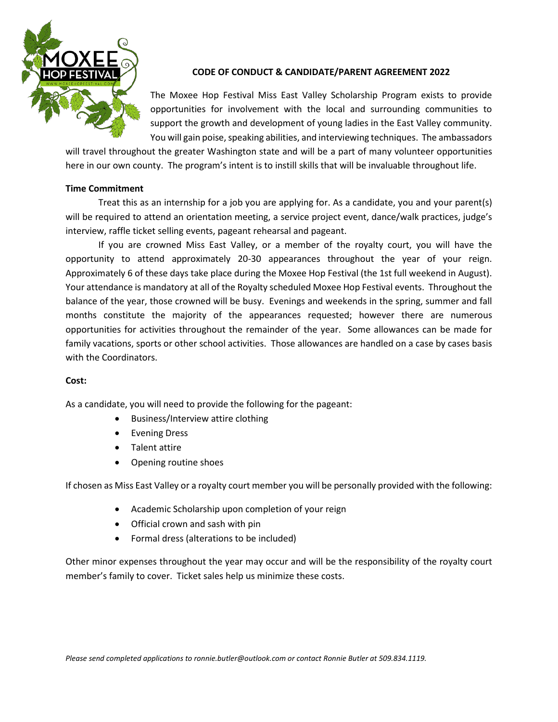

#### **CODE OF CONDUCT & CANDIDATE/PARENT AGREEMENT 2022**

The Moxee Hop Festival Miss East Valley Scholarship Program exists to provide opportunities for involvement with the local and surrounding communities to support the growth and development of young ladies in the East Valley community. You will gain poise, speaking abilities, and interviewing techniques. The ambassadors

will travel throughout the greater Washington state and will be a part of many volunteer opportunities here in our own county. The program's intent is to instill skills that will be invaluable throughout life.

#### **Time Commitment**

Treat this as an internship for a job you are applying for. As a candidate, you and your parent(s) will be required to attend an orientation meeting, a service project event, dance/walk practices, judge's interview, raffle ticket selling events, pageant rehearsal and pageant.

If you are crowned Miss East Valley, or a member of the royalty court, you will have the opportunity to attend approximately 20-30 appearances throughout the year of your reign. Approximately 6 of these days take place during the Moxee Hop Festival (the 1st full weekend in August). Your attendance is mandatory at all of the Royalty scheduled Moxee Hop Festival events. Throughout the balance of the year, those crowned will be busy. Evenings and weekends in the spring, summer and fall months constitute the majority of the appearances requested; however there are numerous opportunities for activities throughout the remainder of the year. Some allowances can be made for family vacations, sports or other school activities. Those allowances are handled on a case by cases basis with the Coordinators.

#### **Cost:**

As a candidate, you will need to provide the following for the pageant:

- Business/Interview attire clothing
- Evening Dress
- Talent attire
- Opening routine shoes

If chosen as Miss East Valley or a royalty court member you will be personally provided with the following:

- Academic Scholarship upon completion of your reign
- Official crown and sash with pin
- Formal dress (alterations to be included)

Other minor expenses throughout the year may occur and will be the responsibility of the royalty court member's family to cover. Ticket sales help us minimize these costs.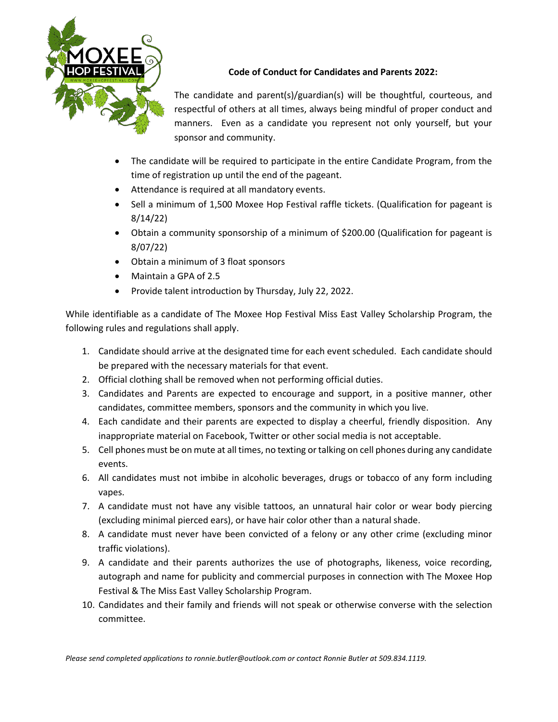

**Code of Conduct for Candidates and Parents 2022:**

The candidate and parent(s)/guardian(s) will be thoughtful, courteous, and respectful of others at all times, always being mindful of proper conduct and manners. Even as a candidate you represent not only yourself, but your sponsor and community.

- The candidate will be required to participate in the entire Candidate Program, from the time of registration up until the end of the pageant.
- Attendance is required at all mandatory events.
- Sell a minimum of 1,500 Moxee Hop Festival raffle tickets. (Qualification for pageant is 8/14/22)
- Obtain a community sponsorship of a minimum of \$200.00 (Qualification for pageant is 8/07/22)
- Obtain a minimum of 3 float sponsors
- Maintain a GPA of 2.5
- Provide talent introduction by Thursday, July 22, 2022.

While identifiable as a candidate of The Moxee Hop Festival Miss East Valley Scholarship Program, the following rules and regulations shall apply.

- 1. Candidate should arrive at the designated time for each event scheduled. Each candidate should be prepared with the necessary materials for that event.
- 2. Official clothing shall be removed when not performing official duties.
- 3. Candidates and Parents are expected to encourage and support, in a positive manner, other candidates, committee members, sponsors and the community in which you live.
- 4. Each candidate and their parents are expected to display a cheerful, friendly disposition. Any inappropriate material on Facebook, Twitter or other social media is not acceptable.
- 5. Cell phones must be on mute at all times, no texting or talking on cell phones during any candidate events.
- 6. All candidates must not imbibe in alcoholic beverages, drugs or tobacco of any form including vapes.
- 7. A candidate must not have any visible tattoos, an unnatural hair color or wear body piercing (excluding minimal pierced ears), or have hair color other than a natural shade.
- 8. A candidate must never have been convicted of a felony or any other crime (excluding minor traffic violations).
- 9. A candidate and their parents authorizes the use of photographs, likeness, voice recording, autograph and name for publicity and commercial purposes in connection with The Moxee Hop Festival & The Miss East Valley Scholarship Program.
- 10. Candidates and their family and friends will not speak or otherwise converse with the selection committee.

*Please send completed applications to ronnie.butler@outlook.com or contact Ronnie Butler at 509.834.1119.*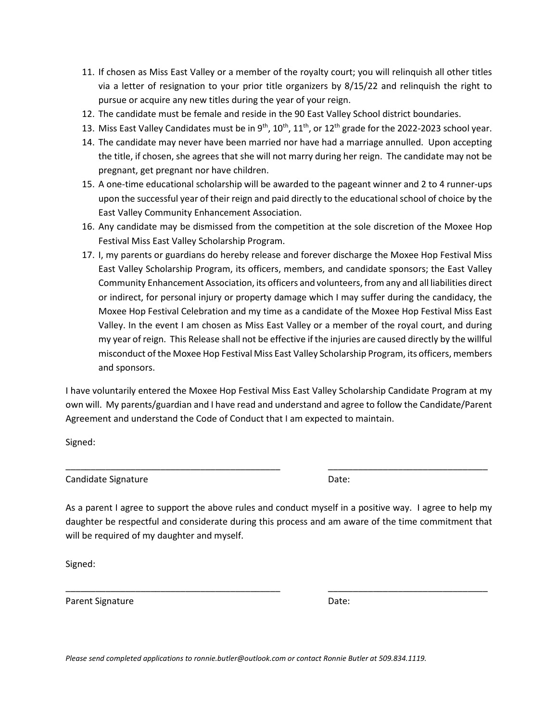- 11. If chosen as Miss East Valley or a member of the royalty court; you will relinquish all other titles via a letter of resignation to your prior title organizers by 8/15/22 and relinquish the right to pursue or acquire any new titles during the year of your reign.
- 12. The candidate must be female and reside in the 90 East Valley School district boundaries.
- 13. Miss East Valley Candidates must be in  $9^{th}$ ,  $10^{th}$ ,  $11^{th}$ , or  $12^{th}$  grade for the 2022-2023 school year.
- 14. The candidate may never have been married nor have had a marriage annulled. Upon accepting the title, if chosen, she agrees that she will not marry during her reign. The candidate may not be pregnant, get pregnant nor have children.
- 15. A one-time educational scholarship will be awarded to the pageant winner and 2 to 4 runner-ups upon the successful year of their reign and paid directly to the educational school of choice by the East Valley Community Enhancement Association.
- 16. Any candidate may be dismissed from the competition at the sole discretion of the Moxee Hop Festival Miss East Valley Scholarship Program.
- 17. I, my parents or guardians do hereby release and forever discharge the Moxee Hop Festival Miss East Valley Scholarship Program, its officers, members, and candidate sponsors; the East Valley Community Enhancement Association, its officers and volunteers, from any and all liabilities direct or indirect, for personal injury or property damage which I may suffer during the candidacy, the Moxee Hop Festival Celebration and my time as a candidate of the Moxee Hop Festival Miss East Valley. In the event I am chosen as Miss East Valley or a member of the royal court, and during my year of reign. This Release shall not be effective if the injuries are caused directly by the willful misconduct of the Moxee Hop Festival Miss East Valley Scholarship Program, its officers, members and sponsors.

I have voluntarily entered the Moxee Hop Festival Miss East Valley Scholarship Candidate Program at my own will. My parents/guardian and I have read and understand and agree to follow the Candidate/Parent Agreement and understand the Code of Conduct that I am expected to maintain.

Signed:

Candidate Signature **Date:** Date:

As a parent I agree to support the above rules and conduct myself in a positive way. I agree to help my daughter be respectful and considerate during this process and am aware of the time commitment that will be required of my daughter and myself.

\_\_\_\_\_\_\_\_\_\_\_\_\_\_\_\_\_\_\_\_\_\_\_\_\_\_\_\_\_\_\_\_\_\_\_\_\_\_\_\_\_\_\_ \_\_\_\_\_\_\_\_\_\_\_\_\_\_\_\_\_\_\_\_\_\_\_\_\_\_\_\_\_\_\_\_

\_\_\_\_\_\_\_\_\_\_\_\_\_\_\_\_\_\_\_\_\_\_\_\_\_\_\_\_\_\_\_\_\_\_\_\_\_\_\_\_\_\_\_ \_\_\_\_\_\_\_\_\_\_\_\_\_\_\_\_\_\_\_\_\_\_\_\_\_\_\_\_\_\_\_\_

Signed:

Parent Signature Date: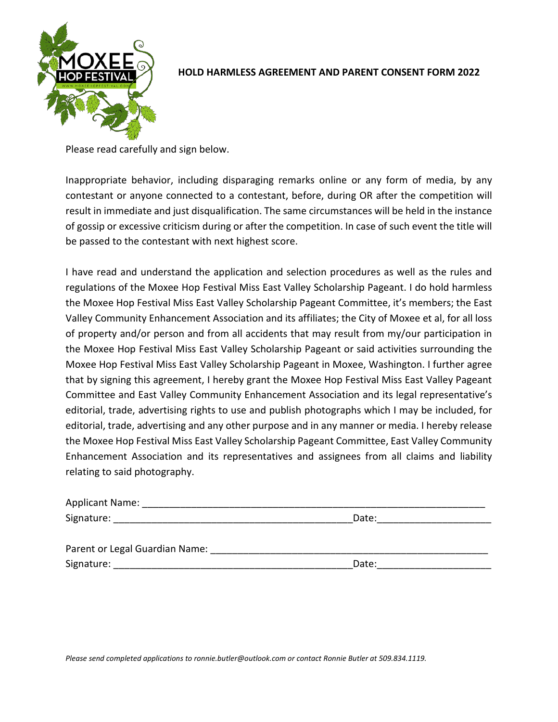

#### **HOLD HARMLESS AGREEMENT AND PARENT CONSENT FORM 2022**

Please read carefully and sign below.

Inappropriate behavior, including disparaging remarks online or any form of media, by any contestant or anyone connected to a contestant, before, during OR after the competition will result in immediate and just disqualification. The same circumstances will be held in the instance of gossip or excessive criticism during or after the competition. In case of such event the title will be passed to the contestant with next highest score.

I have read and understand the application and selection procedures as well as the rules and regulations of the Moxee Hop Festival Miss East Valley Scholarship Pageant. I do hold harmless the Moxee Hop Festival Miss East Valley Scholarship Pageant Committee, it's members; the East Valley Community Enhancement Association and its affiliates; the City of Moxee et al, for all loss of property and/or person and from all accidents that may result from my/our participation in the Moxee Hop Festival Miss East Valley Scholarship Pageant or said activities surrounding the Moxee Hop Festival Miss East Valley Scholarship Pageant in Moxee, Washington. I further agree that by signing this agreement, I hereby grant the Moxee Hop Festival Miss East Valley Pageant Committee and East Valley Community Enhancement Association and its legal representative's editorial, trade, advertising rights to use and publish photographs which I may be included, for editorial, trade, advertising and any other purpose and in any manner or media. I hereby release the Moxee Hop Festival Miss East Valley Scholarship Pageant Committee, East Valley Community Enhancement Association and its representatives and assignees from all claims and liability relating to said photography.

| <b>Applicant Name:</b>         |       |  |
|--------------------------------|-------|--|
| Signature:                     | Date: |  |
|                                |       |  |
| Parent or Legal Guardian Name: |       |  |

| Signature:<br>Date: |  |
|---------------------|--|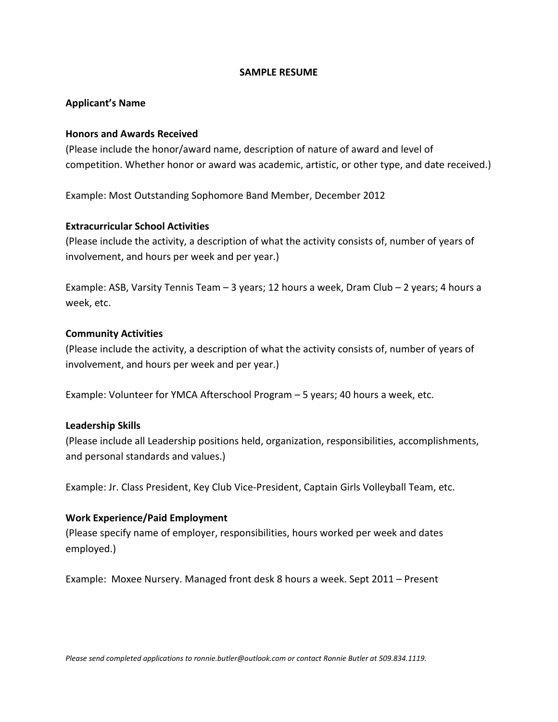#### **SAMPLE RESUME**

#### **Applicant's Name**

#### **Honors and Awards Received**

(Please include the honor/award name, description of nature of award and level of competition. Whether honor or award was academic, artistic, or other type, and date received.)

Example: Most Outstanding Sophomore Band Member, December 2012

#### **Extracurricular School Activities**

(Please include the activity, a description of what the activity consists of, number of years of involvement, and hours per week and per year.)

Example: ASB, Varsity Tennis Team – 3 years; 12 hours a week, Dram Club – 2 years; 4 hours a week, etc.

#### **Community Activities**

(Please include the activity, a description of what the activity consists of, number of years of involvement, and hours per week and per year.)

Example: Volunteer for YMCA Afterschool Program – 5 years; 40 hours a week, etc.

#### **Leadership Skills**

(Please include all Leadership positions held, organization, responsibilities, accomplishments, and personal standards and values.)

Example: Jr. Class President, Key Club Vice-President, Captain Girls Volleyball Team, etc.

#### **Work Experience/Paid Employment**

(Please specify name of employer, responsibilities, hours worked per week and dates employed.)

Example: Moxee Nursery. Managed front desk 8 hours a week. Sept 2011 – Present